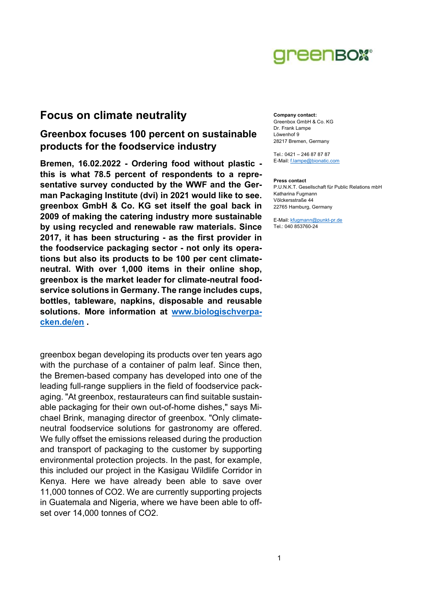

# Focus on climate neutrality

# Greenbox focuses 100 percent on sustainable products for the foodservice industry

Bremen, 16.02.2022 - Ordering food without plastic this is what 78.5 percent of respondents to a representative survey conducted by the WWF and the German Packaging Institute (dvi) in 2021 would like to see. greenbox GmbH & Co. KG set itself the goal back in 2009 of making the catering industry more sustainable by using recycled and renewable raw materials. Since 2017, it has been structuring - as the first provider in the foodservice packaging sector - not only its operations but also its products to be 100 per cent climateneutral. With over 1,000 items in their online shop, greenbox is the market leader for climate-neutral foodservice solutions in Germany. The range includes cups, bottles, tableware, napkins, disposable and reusable solutions. More information at www.biologischverpacken.de/en .

greenbox began developing its products over ten years ago with the purchase of a container of palm leaf. Since then, the Bremen-based company has developed into one of the leading full-range suppliers in the field of foodservice packaging. "At greenbox, restaurateurs can find suitable sustainable packaging for their own out-of-home dishes," says Michael Brink, managing director of greenbox. "Only climateneutral foodservice solutions for gastronomy are offered. We fully offset the emissions released during the production and transport of packaging to the customer by supporting environmental protection projects. In the past, for example, this included our project in the Kasigau Wildlife Corridor in Kenya. Here we have already been able to save over 11,000 tonnes of CO2. We are currently supporting projects in Guatemala and Nigeria, where we have been able to offset over 14,000 tonnes of CO2.

Company contact: Greenbox GmbH & Co. KG Dr. Frank Lampe Löwenhof 9 28217 Bremen, Germany

Tel.: 0421 – 246 87 87 87 E-Mail: f.lampe@bionatic.com

### Press contact

P.U.N.K.T. Gesellschaft für Public Relations mbH Katharina Fugmann Völckersstraße 44 22765 Hamburg, Germany

E-Mail: kfugmann@punkt-pr.de Tel.: 040 853760-24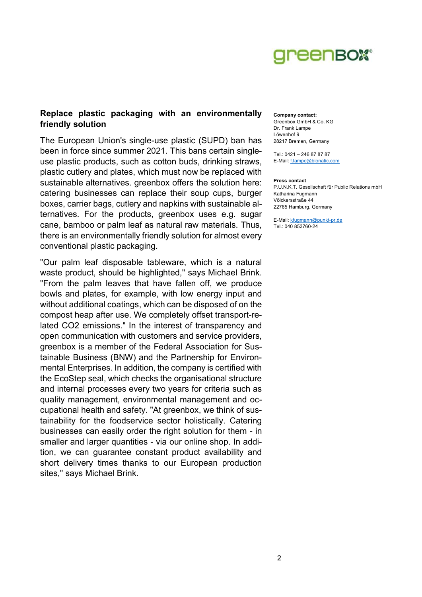

## Replace plastic packaging with an environmentally friendly solution

The European Union's single-use plastic (SUPD) ban has been in force since summer 2021. This bans certain singleuse plastic products, such as cotton buds, drinking straws, plastic cutlery and plates, which must now be replaced with sustainable alternatives. greenbox offers the solution here: catering businesses can replace their soup cups, burger boxes, carrier bags, cutlery and napkins with sustainable alternatives. For the products, greenbox uses e.g. sugar cane, bamboo or palm leaf as natural raw materials. Thus, there is an environmentally friendly solution for almost every conventional plastic packaging.

"Our palm leaf disposable tableware, which is a natural waste product, should be highlighted," says Michael Brink. "From the palm leaves that have fallen off, we produce bowls and plates, for example, with low energy input and without additional coatings, which can be disposed of on the compost heap after use. We completely offset transport-related CO2 emissions." In the interest of transparency and open communication with customers and service providers, greenbox is a member of the Federal Association for Sustainable Business (BNW) and the Partnership for Environmental Enterprises. In addition, the company is certified with the EcoStep seal, which checks the organisational structure and internal processes every two years for criteria such as quality management, environmental management and occupational health and safety. "At greenbox, we think of sustainability for the foodservice sector holistically. Catering businesses can easily order the right solution for them - in smaller and larger quantities - via our online shop. In addition, we can guarantee constant product availability and short delivery times thanks to our European production sites," says Michael Brink.

#### Company contact:

Greenbox GmbH & Co. KG Dr. Frank Lampe Löwenhof 9 28217 Bremen, Germany

Tel.: 0421 – 246 87 87 87 E-Mail: f.lampe@bionatic.com

#### Press contact

P.U.N.K.T. Gesellschaft für Public Relations mbH Katharina Fugmann Völckersstraße 44 22765 Hamburg, Germany

E-Mail: kfugmann@punkt-pr.de Tel.: 040 853760-24